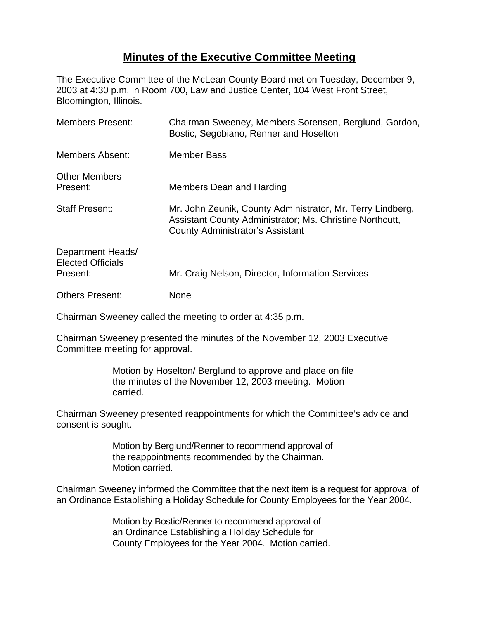## **Minutes of the Executive Committee Meeting**

The Executive Committee of the McLean County Board met on Tuesday, December 9, 2003 at 4:30 p.m. in Room 700, Law and Justice Center, 104 West Front Street, Bloomington, Illinois.

| <b>Members Present:</b>                                   | Chairman Sweeney, Members Sorensen, Berglund, Gordon,<br>Bostic, Segobiano, Renner and Hoselton                                                                   |
|-----------------------------------------------------------|-------------------------------------------------------------------------------------------------------------------------------------------------------------------|
| Members Absent:                                           | Member Bass                                                                                                                                                       |
| <b>Other Members</b><br>Present:                          | Members Dean and Harding                                                                                                                                          |
| <b>Staff Present:</b>                                     | Mr. John Zeunik, County Administrator, Mr. Terry Lindberg,<br>Assistant County Administrator; Ms. Christine Northcutt,<br><b>County Administrator's Assistant</b> |
| Department Heads/<br><b>Elected Officials</b><br>Present: | Mr. Craig Nelson, Director, Information Services                                                                                                                  |
| <b>Others Present:</b>                                    | None                                                                                                                                                              |

Chairman Sweeney called the meeting to order at 4:35 p.m.

Chairman Sweeney presented the minutes of the November 12, 2003 Executive Committee meeting for approval.

> Motion by Hoselton/ Berglund to approve and place on file the minutes of the November 12, 2003 meeting. Motion carried.

Chairman Sweeney presented reappointments for which the Committee's advice and consent is sought.

> Motion by Berglund/Renner to recommend approval of the reappointments recommended by the Chairman. Motion carried.

Chairman Sweeney informed the Committee that the next item is a request for approval of an Ordinance Establishing a Holiday Schedule for County Employees for the Year 2004.

> Motion by Bostic/Renner to recommend approval of an Ordinance Establishing a Holiday Schedule for County Employees for the Year 2004. Motion carried.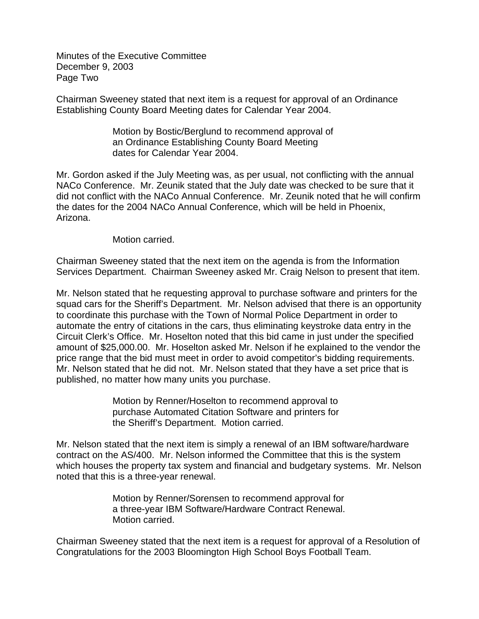Minutes of the Executive Committee December 9, 2003 Page Two

Chairman Sweeney stated that next item is a request for approval of an Ordinance Establishing County Board Meeting dates for Calendar Year 2004.

> Motion by Bostic/Berglund to recommend approval of an Ordinance Establishing County Board Meeting dates for Calendar Year 2004.

Mr. Gordon asked if the July Meeting was, as per usual, not conflicting with the annual NACo Conference. Mr. Zeunik stated that the July date was checked to be sure that it did not conflict with the NACo Annual Conference. Mr. Zeunik noted that he will confirm the dates for the 2004 NACo Annual Conference, which will be held in Phoenix, Arizona.

Motion carried.

Chairman Sweeney stated that the next item on the agenda is from the Information Services Department. Chairman Sweeney asked Mr. Craig Nelson to present that item.

Mr. Nelson stated that he requesting approval to purchase software and printers for the squad cars for the Sheriff's Department. Mr. Nelson advised that there is an opportunity to coordinate this purchase with the Town of Normal Police Department in order to automate the entry of citations in the cars, thus eliminating keystroke data entry in the Circuit Clerk's Office. Mr. Hoselton noted that this bid came in just under the specified amount of \$25,000.00. Mr. Hoselton asked Mr. Nelson if he explained to the vendor the price range that the bid must meet in order to avoid competitor's bidding requirements. Mr. Nelson stated that he did not. Mr. Nelson stated that they have a set price that is published, no matter how many units you purchase.

> Motion by Renner/Hoselton to recommend approval to purchase Automated Citation Software and printers for the Sheriff's Department. Motion carried.

Mr. Nelson stated that the next item is simply a renewal of an IBM software/hardware contract on the AS/400. Mr. Nelson informed the Committee that this is the system which houses the property tax system and financial and budgetary systems. Mr. Nelson noted that this is a three-year renewal.

> Motion by Renner/Sorensen to recommend approval for a three-year IBM Software/Hardware Contract Renewal. Motion carried.

Chairman Sweeney stated that the next item is a request for approval of a Resolution of Congratulations for the 2003 Bloomington High School Boys Football Team.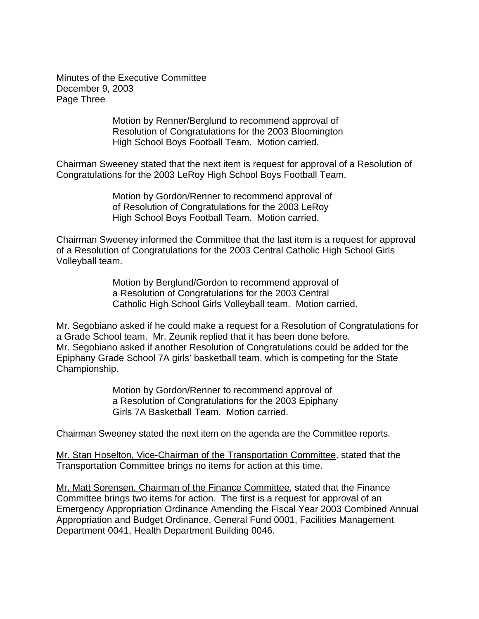Minutes of the Executive Committee December 9, 2003 Page Three

> Motion by Renner/Berglund to recommend approval of Resolution of Congratulations for the 2003 Bloomington High School Boys Football Team. Motion carried.

Chairman Sweeney stated that the next item is request for approval of a Resolution of Congratulations for the 2003 LeRoy High School Boys Football Team.

> Motion by Gordon/Renner to recommend approval of of Resolution of Congratulations for the 2003 LeRoy High School Boys Football Team. Motion carried.

Chairman Sweeney informed the Committee that the last item is a request for approval of a Resolution of Congratulations for the 2003 Central Catholic High School Girls Volleyball team.

> Motion by Berglund/Gordon to recommend approval of a Resolution of Congratulations for the 2003 Central Catholic High School Girls Volleyball team. Motion carried.

Mr. Segobiano asked if he could make a request for a Resolution of Congratulations for a Grade School team. Mr. Zeunik replied that it has been done before. Mr. Segobiano asked if another Resolution of Congratulations could be added for the Epiphany Grade School 7A girls' basketball team, which is competing for the State Championship.

> Motion by Gordon/Renner to recommend approval of a Resolution of Congratulations for the 2003 Epiphany Girls 7A Basketball Team. Motion carried.

Chairman Sweeney stated the next item on the agenda are the Committee reports.

Mr. Stan Hoselton, Vice-Chairman of the Transportation Committee, stated that the Transportation Committee brings no items for action at this time.

Mr. Matt Sorensen, Chairman of the Finance Committee, stated that the Finance Committee brings two items for action. The first is a request for approval of an Emergency Appropriation Ordinance Amending the Fiscal Year 2003 Combined Annual Appropriation and Budget Ordinance, General Fund 0001, Facilities Management Department 0041, Health Department Building 0046.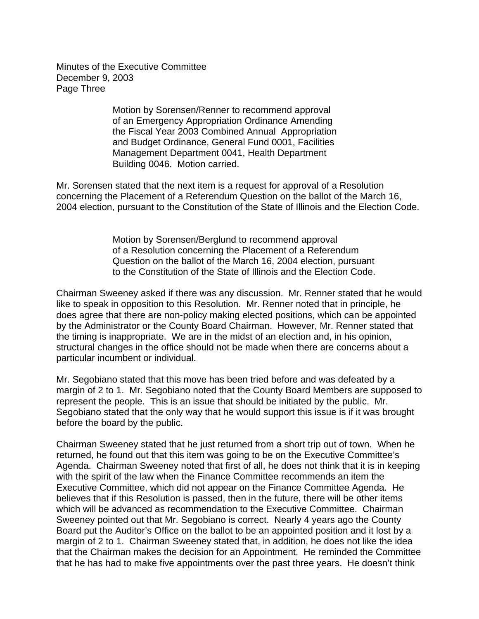Minutes of the Executive Committee December 9, 2003 Page Three

> Motion by Sorensen/Renner to recommend approval of an Emergency Appropriation Ordinance Amending the Fiscal Year 2003 Combined Annual Appropriation and Budget Ordinance, General Fund 0001, Facilities Management Department 0041, Health Department Building 0046. Motion carried.

Mr. Sorensen stated that the next item is a request for approval of a Resolution concerning the Placement of a Referendum Question on the ballot of the March 16, 2004 election, pursuant to the Constitution of the State of Illinois and the Election Code.

> Motion by Sorensen/Berglund to recommend approval of a Resolution concerning the Placement of a Referendum Question on the ballot of the March 16, 2004 election, pursuant to the Constitution of the State of Illinois and the Election Code.

Chairman Sweeney asked if there was any discussion. Mr. Renner stated that he would like to speak in opposition to this Resolution. Mr. Renner noted that in principle, he does agree that there are non-policy making elected positions, which can be appointed by the Administrator or the County Board Chairman. However, Mr. Renner stated that the timing is inappropriate. We are in the midst of an election and, in his opinion, structural changes in the office should not be made when there are concerns about a particular incumbent or individual.

Mr. Segobiano stated that this move has been tried before and was defeated by a margin of 2 to 1. Mr. Segobiano noted that the County Board Members are supposed to represent the people. This is an issue that should be initiated by the public. Mr. Segobiano stated that the only way that he would support this issue is if it was brought before the board by the public.

Chairman Sweeney stated that he just returned from a short trip out of town. When he returned, he found out that this item was going to be on the Executive Committee's Agenda. Chairman Sweeney noted that first of all, he does not think that it is in keeping with the spirit of the law when the Finance Committee recommends an item the Executive Committee, which did not appear on the Finance Committee Agenda. He believes that if this Resolution is passed, then in the future, there will be other items which will be advanced as recommendation to the Executive Committee. Chairman Sweeney pointed out that Mr. Segobiano is correct. Nearly 4 years ago the County Board put the Auditor's Office on the ballot to be an appointed position and it lost by a margin of 2 to 1. Chairman Sweeney stated that, in addition, he does not like the idea that the Chairman makes the decision for an Appointment. He reminded the Committee that he has had to make five appointments over the past three years. He doesn't think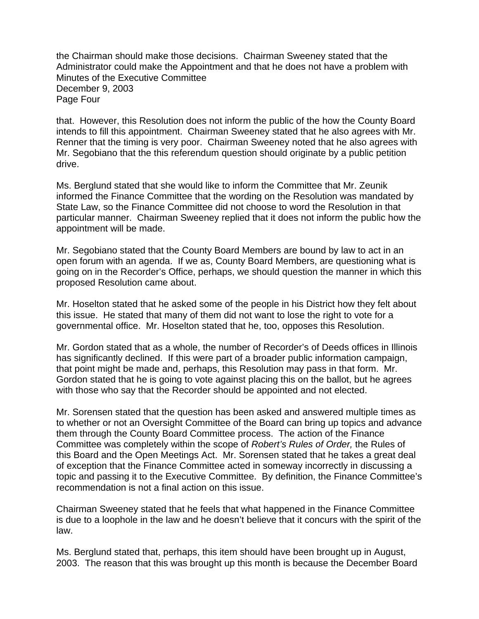the Chairman should make those decisions. Chairman Sweeney stated that the Administrator could make the Appointment and that he does not have a problem with Minutes of the Executive Committee December 9, 2003 Page Four

that. However, this Resolution does not inform the public of the how the County Board intends to fill this appointment. Chairman Sweeney stated that he also agrees with Mr. Renner that the timing is very poor. Chairman Sweeney noted that he also agrees with Mr. Segobiano that the this referendum question should originate by a public petition drive.

Ms. Berglund stated that she would like to inform the Committee that Mr. Zeunik informed the Finance Committee that the wording on the Resolution was mandated by State Law, so the Finance Committee did not choose to word the Resolution in that particular manner. Chairman Sweeney replied that it does not inform the public how the appointment will be made.

Mr. Segobiano stated that the County Board Members are bound by law to act in an open forum with an agenda. If we as, County Board Members, are questioning what is going on in the Recorder's Office, perhaps, we should question the manner in which this proposed Resolution came about.

Mr. Hoselton stated that he asked some of the people in his District how they felt about this issue. He stated that many of them did not want to lose the right to vote for a governmental office. Mr. Hoselton stated that he, too, opposes this Resolution.

Mr. Gordon stated that as a whole, the number of Recorder's of Deeds offices in Illinois has significantly declined. If this were part of a broader public information campaign, that point might be made and, perhaps, this Resolution may pass in that form. Mr. Gordon stated that he is going to vote against placing this on the ballot, but he agrees with those who say that the Recorder should be appointed and not elected.

Mr. Sorensen stated that the question has been asked and answered multiple times as to whether or not an Oversight Committee of the Board can bring up topics and advance them through the County Board Committee process. The action of the Finance Committee was completely within the scope of *Robert's Rules of Order,* the Rules of this Board and the Open Meetings Act. Mr. Sorensen stated that he takes a great deal of exception that the Finance Committee acted in someway incorrectly in discussing a topic and passing it to the Executive Committee. By definition, the Finance Committee's recommendation is not a final action on this issue.

Chairman Sweeney stated that he feels that what happened in the Finance Committee is due to a loophole in the law and he doesn't believe that it concurs with the spirit of the law.

Ms. Berglund stated that, perhaps, this item should have been brought up in August, 2003. The reason that this was brought up this month is because the December Board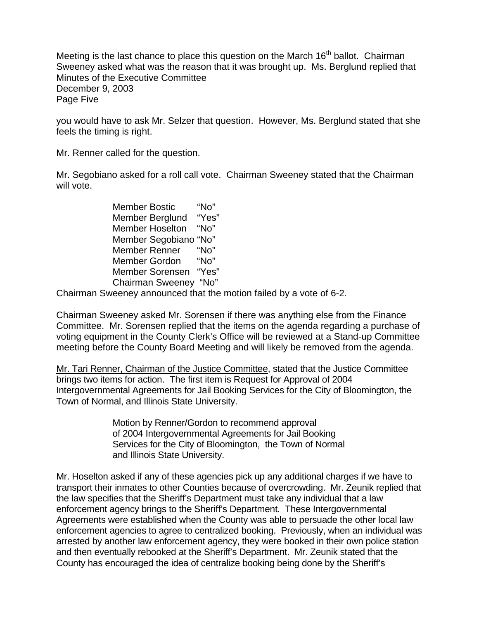Meeting is the last chance to place this question on the March 16<sup>th</sup> ballot. Chairman Sweeney asked what was the reason that it was brought up. Ms. Berglund replied that Minutes of the Executive Committee December 9, 2003 Page Five

you would have to ask Mr. Selzer that question. However, Ms. Berglund stated that she feels the timing is right.

Mr. Renner called for the question.

Mr. Segobiano asked for a roll call vote. Chairman Sweeney stated that the Chairman will vote.

> Member Bostic "No" Member Berglund "Yes" Member Hoselton "No" Member Segobiano "No" Member Renner "No" Member Gordon "No" Member Sorensen "Yes" Chairman Sweeney "No"

Chairman Sweeney announced that the motion failed by a vote of 6-2.

Chairman Sweeney asked Mr. Sorensen if there was anything else from the Finance Committee. Mr. Sorensen replied that the items on the agenda regarding a purchase of voting equipment in the County Clerk's Office will be reviewed at a Stand-up Committee meeting before the County Board Meeting and will likely be removed from the agenda.

Mr. Tari Renner, Chairman of the Justice Committee, stated that the Justice Committee brings two items for action. The first item is Request for Approval of 2004 Intergovernmental Agreements for Jail Booking Services for the City of Bloomington, the Town of Normal, and Illinois State University.

> Motion by Renner/Gordon to recommend approval of 2004 Intergovernmental Agreements for Jail Booking Services for the City of Bloomington, the Town of Normal and Illinois State University.

Mr. Hoselton asked if any of these agencies pick up any additional charges if we have to transport their inmates to other Counties because of overcrowding. Mr. Zeunik replied that the law specifies that the Sheriff's Department must take any individual that a law enforcement agency brings to the Sheriff's Department. These Intergovernmental Agreements were established when the County was able to persuade the other local law enforcement agencies to agree to centralized booking. Previously, when an individual was arrested by another law enforcement agency, they were booked in their own police station and then eventually rebooked at the Sheriff's Department. Mr. Zeunik stated that the County has encouraged the idea of centralize booking being done by the Sheriff's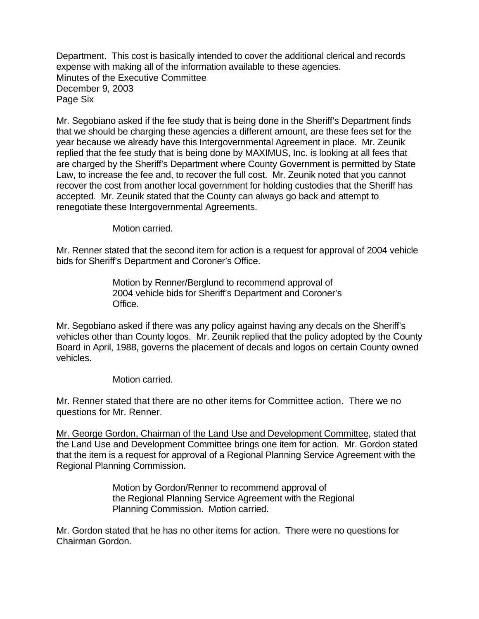Department. This cost is basically intended to cover the additional clerical and records expense with making all of the information available to these agencies. Minutes of the Executive Committee December 9, 2003 Page Six

Mr. Segobiano asked if the fee study that is being done in the Sheriff's Department finds that we should be charging these agencies a different amount, are these fees set for the year because we already have this Intergovernmental Agreement in place. Mr. Zeunik replied that the fee study that is being done by MAXIMUS, Inc. is looking at all fees that are charged by the Sheriff's Department where County Government is permitted by State Law, to increase the fee and, to recover the full cost. Mr. Zeunik noted that you cannot recover the cost from another local government for holding custodies that the Sheriff has accepted. Mr. Zeunik stated that the County can always go back and attempt to renegotiate these Intergovernmental Agreements.

Motion carried.

Mr. Renner stated that the second item for action is a request for approval of 2004 vehicle bids for Sheriff's Department and Coroner's Office.

> Motion by Renner/Berglund to recommend approval of 2004 vehicle bids for Sheriff's Department and Coroner's Office.

Mr. Segobiano asked if there was any policy against having any decals on the Sheriff's vehicles other than County logos. Mr. Zeunik replied that the policy adopted by the County Board in April, 1988, governs the placement of decals and logos on certain County owned vehicles.

Motion carried.

Mr. Renner stated that there are no other items for Committee action. There we no questions for Mr. Renner.

Mr. George Gordon, Chairman of the Land Use and Development Committee, stated that the Land Use and Development Committee brings one item for action. Mr. Gordon stated that the item is a request for approval of a Regional Planning Service Agreement with the Regional Planning Commission.

> Motion by Gordon/Renner to recommend approval of the Regional Planning Service Agreement with the Regional Planning Commission. Motion carried.

Mr. Gordon stated that he has no other items for action. There were no questions for Chairman Gordon.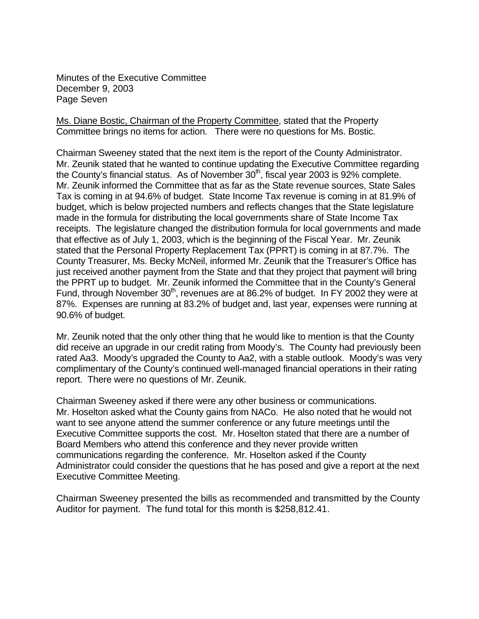Minutes of the Executive Committee December 9, 2003 Page Seven

Ms. Diane Bostic, Chairman of the Property Committee, stated that the Property Committee brings no items for action. There were no questions for Ms. Bostic.

Chairman Sweeney stated that the next item is the report of the County Administrator. Mr. Zeunik stated that he wanted to continue updating the Executive Committee regarding the County's financial status. As of November  $30<sup>th</sup>$ , fiscal year 2003 is 92% complete. Mr. Zeunik informed the Committee that as far as the State revenue sources, State Sales Tax is coming in at 94.6% of budget. State Income Tax revenue is coming in at 81.9% of budget, which is below projected numbers and reflects changes that the State legislature made in the formula for distributing the local governments share of State Income Tax receipts. The legislature changed the distribution formula for local governments and made that effective as of July 1, 2003, which is the beginning of the Fiscal Year. Mr. Zeunik stated that the Personal Property Replacement Tax (PPRT) is coming in at 87.7%. The County Treasurer, Ms. Becky McNeil, informed Mr. Zeunik that the Treasurer's Office has just received another payment from the State and that they project that payment will bring the PPRT up to budget. Mr. Zeunik informed the Committee that in the County's General Fund, through November  $30<sup>th</sup>$ , revenues are at 86.2% of budget. In FY 2002 they were at 87%. Expenses are running at 83.2% of budget and, last year, expenses were running at 90.6% of budget.

Mr. Zeunik noted that the only other thing that he would like to mention is that the County did receive an upgrade in our credit rating from Moody's. The County had previously been rated Aa3. Moody's upgraded the County to Aa2, with a stable outlook. Moody's was very complimentary of the County's continued well-managed financial operations in their rating report. There were no questions of Mr. Zeunik.

Chairman Sweeney asked if there were any other business or communications. Mr. Hoselton asked what the County gains from NACo. He also noted that he would not want to see anyone attend the summer conference or any future meetings until the Executive Committee supports the cost. Mr. Hoselton stated that there are a number of Board Members who attend this conference and they never provide written communications regarding the conference. Mr. Hoselton asked if the County Administrator could consider the questions that he has posed and give a report at the next Executive Committee Meeting.

Chairman Sweeney presented the bills as recommended and transmitted by the County Auditor for payment. The fund total for this month is \$258,812.41.